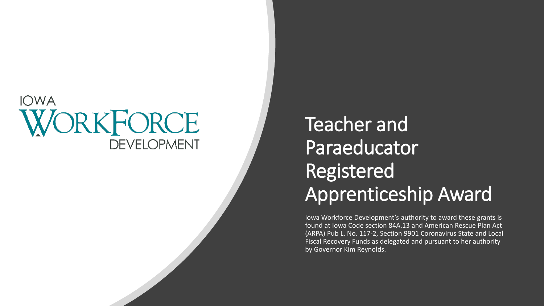### **IOWA** WORKFORCE **DEVELOPMENT**

## Teacher and **Paraeducator** Registered Apprenticeship Award

Iowa Workforce Development's authority to award these grants is found at Iowa Code section 84A.13 and American Rescue Plan Act (ARPA) Pub L. No. 117-2, Section 9901 Coronavirus State and Local Fiscal Recovery Funds as delegated and pursuant to her authority by Governor Kim Reynolds.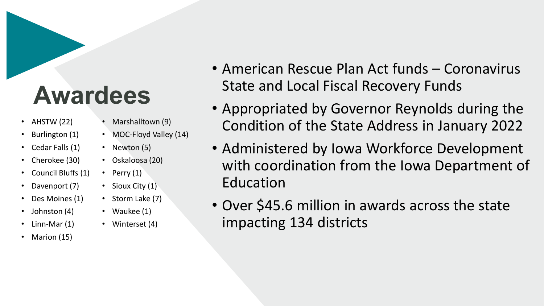## **Awardees**

- AHSTW $(22)$
- Burlington (1)
- Cedar Falls (1)
- Cherokee (30)
- Council Bluffs (1)
- Davenport (7)
- Des Moines (1)
- Johnston (4)
- Linn-Mar (1)
- Marion (15)
- Marshalltown (9)
- MOC-Floyd Valley (14)
- Newton (5)
- Oskaloosa (20)
- Perry  $(1)$
- Sioux City (1)
- Storm Lake (7)
- Waukee (1)
- Winterset (4)
- American Rescue Plan Act funds Coronavirus State and Local Fiscal Recovery Funds
- Appropriated by Governor Reynolds during the Condition of the State Address in January 2022
- Administered by Iowa Workforce Development with coordination from the Iowa Department of Education
- Over \$45.6 million in awards across the state impacting 134 districts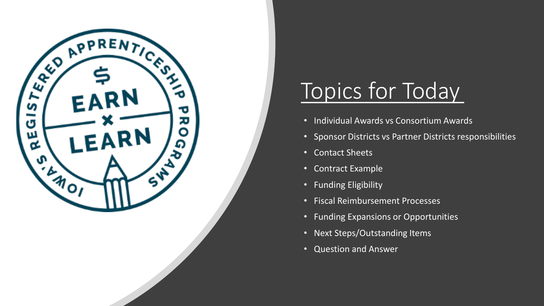

## Topics for Today

- Individual Awards vs Consortium Awards
- Sponsor Districts vs Partner Districts responsibilities
- Contact Sheets
- Contract Example
- Funding Eligibility
- Fiscal Reimbursement Processes
- Funding Expansions or Opportunities
- Next Steps/Outstanding Items
- Question and Answer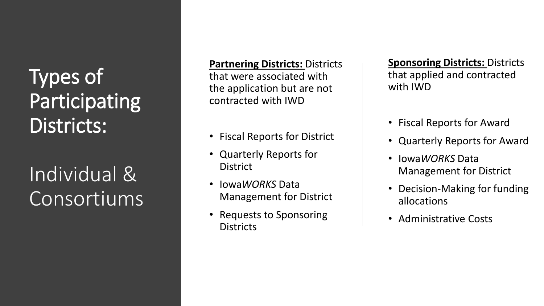Types of Participating Districts:

Individual & Consortiums

**Partnering Districts: Districts** that were associated with the application but are not contracted with IWD

- Fiscal Reports for District
- Quarterly Reports for District
- Iowa*WORKS* Data Management for District
- Requests to Sponsoring **Districts**

**Sponsoring Districts:** Districts that applied and contracted with IWD

- Fiscal Reports for Award
- Quarterly Reports for Award
- Iowa*WORKS* Data Management for District
- Decision-Making for funding allocations
- Administrative Costs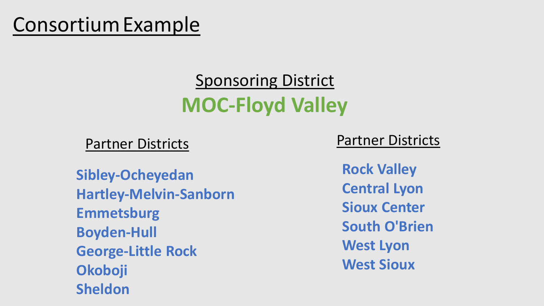## ConsortiumExample

## Sponsoring District **MOC-Floyd Valley**

Partner Districts

**Sibley-Ocheyedan Hartley-Melvin-Sanborn Emmetsburg Boyden-Hull George-Little Rock Okoboji Sheldon**

Partner Districts

**Rock Valley Central Lyon Sioux Center South O'Brien West Lyon West Sioux**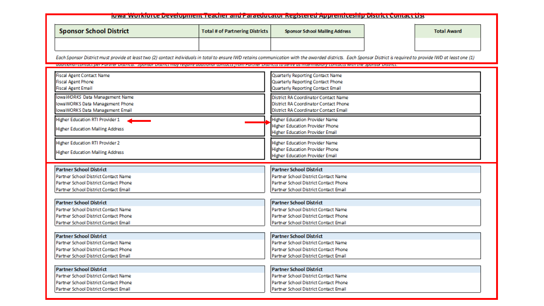#### lowa workloree Development Teather and Paraeuutator Registered Apprentiteship District Contact List **Sponsor School District Total # of Partnering Districts Sponsor School Mailing Address Total Award** Each Sponsor District must provide at least two (2) contact individuals in total to ensure IWD retains communication with the awarded districts. Each Sponsor District is required to provide IWD at least one (1) additional contact per raturer bistricts. Sponsor bistrict may require additional contacts from raturer bistricts to serve as intermedially contacts with the Sponsor bistrict. Quarterly Reporting Contact Name **Fiscal Agent Contact Name Fiscal Agent Phone** Quarterly Reporting Contact Phone Quarterly Reporting Contact Email **Fiscal Agent Email** IowaWORKS Data Management Name District RA Coordinator Contact Name IowaWORKS Data Management Phone District RA Coordinator Contact Phone IowaWORKS Data Management Email District RA Coordinator Contact Email **Higher Education RTI Provider 1 Higher Education Provider Name Higher Education Provider Phone Higher Education Mailing Address Higher Education Provider Email Higher Education RTI Provider 2 Higher Education Provider Name Higher Education Provider Phone Higher Education Mailing Address Higher Education Provider Email Partner School District Partner School District** Partner School District Contact Name Partner School District Contact Name Partner School District Contact Phone Partner School District Contact Phone Partner School District Contact Email Partner School District Contact Email Partner School District **Partner School District** Partner School District Contact Name Partner School District Contact Name Partner School District Contact Phone Partner School District Contact Phone Partner School District Contact Email Partner School District Contact Email **Partner School District Partner School District** Partner School District Contact Name Partner School District Contact Name Partner School District Contact Phone Partner School District Contact Phone Partner School District Contact Email Partner School District Contact Email Partner School District **Partner School District** Partner School District Contact Name Partner School District Contact Name Partner School District Contact Phone Partner School District Contact Phone Partner School District Contact Email Partner School District Contact Email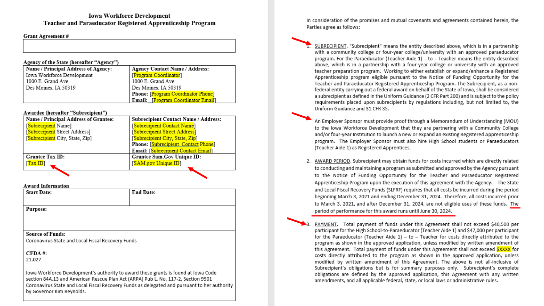### **Iowa Workforce Development** Teacher and Paraeducator Registered Apprenticeship Program

#### **Grant Agreement#**

#### Agency of the State (hereafter "Agency")

| Name / Principal Address of Agency: | <b>Agency Contact Name / Address:</b> |
|-------------------------------------|---------------------------------------|
| Iowa Workforce Development          | [Program Coordinator]                 |
| 1000 E. Grand Ave                   | 1000 E. Grand Ave                     |
| Des Moines, IA 50319                | Des Moines, IA 50319                  |
|                                     | Phone: [Program Coordinator Phone]    |
|                                     | Email: [Program Coordinator Email]    |

#### Awardee (hereafter "Subrecipient")

| Name / Principal Address of Grantee:        | <b>Subrecipient Contact Name / Address:</b> |
|---------------------------------------------|---------------------------------------------|
| [Subrecipient Name]                         | [Subrecipient Contact Name]                 |
| [ <mark>Subrecipient</mark> Street Address] | [Subrecipient Street Address]               |
| [Subrecipient City, State, Zip]             | [Subrecipient City, State, Zip]             |
|                                             | Phone: [Subrecipient Contact Phone]         |
|                                             | Email: [Subrecipient Contact Email]         |
| Grantee Tax ID:                             | Grantee Sam.Gov Unique ID:                  |
| [TaxID]                                     | [SAM.gov Unique ID]                         |
|                                             |                                             |

#### **Award Information**

| <b>Start Date:</b>                                | <b>End Date:</b> |
|---------------------------------------------------|------------------|
|                                                   |                  |
| <b>Purpose:</b>                                   |                  |
|                                                   |                  |
|                                                   |                  |
| <b>Source of Funds:</b>                           |                  |
| Coronavirus State and Local Fiscal Bosquan: Eunds |                  |

Coronavirus State and Local Fiscal Recovery Funds

 $CFDA$ #: 21.027

Iowa Workforce Development's authority to award these grants is found at Iowa Code section 84A.13 and American Rescue Plan Act (ARPA) Pub L. No. 117-2, Section 9901 Coronavirus State and Local Fiscal Recovery Funds as delegated and pursuant to her authority by Governor Kim Reynolds.

In consideration of the promises and mutual covenants and agreements contained herein, the Parties agree as follows:

1. SUBRECIPIENT. "Subrecipient" means the entity described above, which is in a partnership with a community college or four-year college/university with an approved paraeducator program. For the Paraeducator (Teacher Aide 1) - to - Teacher means the entity described above, which is in a partnership with a four-year college or university with an approved teacher preparation program. Working to either establish or expand/enhance a Registered Apprenticeship program eligible pursuant to the Notice of Funding Opportunity for the Teacher and Paraeducator Registered Apprenticeship Program. The Subrecipient, as a nonfederal entity carrying out a federal award on behalf of the State of Iowa, shall be considered a subrecipient as defined in the Uniform Guidance (2 CFR Part 200) and is subject to the policy requirements placed upon subrecipients by regulations including, but not limited to, the Uniform Guidance and 31 CFR 35.

An Employer Sponsor must provide proof through a Memorandum of Understanding (MOU) to the Iowa Workforce Development that they are partnering with a Community College and/or four-year Institution to launch a new or expand an existing Registered Apprenticeship program. The Employer Sponsor must also hire High School students or Paraeducators (Teacher Aide 1) as Registered Apprentices.

2. AWARD PERIOD. Subrecipient may obtain funds for costs incurred which are directly related to conducting and maintaining a program as submitted and approved by the Agency pursuant to the Notice of Funding Opportunity for the Teacher and Paraeducator Registered Apprenticeship Program upon the execution of this agreement with the Agency. The State and Local Fiscal Recovery Funds (SLFRF) requires that all costs be incurred during the period beginning March 3, 2021 and ending December 31, 2024. Therefore, all costs incurred prior to March 3, 2021, and after December 31, 2024, are not eligible uses of these funds. The period of performance for this award runs until June 30, 2024.

PAYMENT. Total payment of funds under this Agreement shall not exceed \$40,500 per participant for the High School-to-Paraeducator (Teacher Aide 1) and \$47,000 per participant for the Paraeducator (Teacher Aide  $1$ ) - to - Teacher for costs directly attributed to the program as shown in the approved application, unless modified by written amendment of this Agreement. Total payment of funds under this Agreement shall not exceed SXXXX for costs directly attributed to the program as shown in the approved application, unless modified by written amendment of this Agreement. The above is not all-inclusive of Subrecipient's obligations but is for summary purposes only. Subrecipient's complete obligations are defined by the approved application, this Agreement with any written amendments, and all applicable federal, state, or local laws or administrative rules.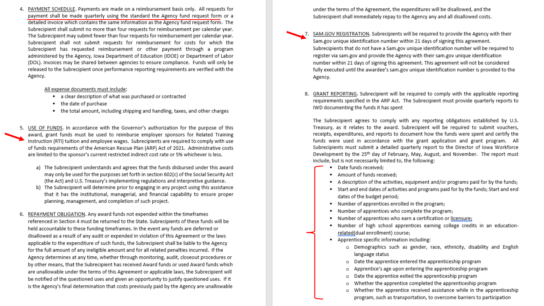PAYMENT SCHEDULE. Payments are made on a reimbursement basis only. All requests for payment shall be made quarterly using the standard the Agency fund request form or a detailed invoice which contains the same information as the Agency fund request form. The Subrecipient shall submit no more than four requests for reimbursement per calendar year. The Subrecipient may submit fewer than four requests for reimbursement per calendar year. Subrecipient shall not submit requests for reimbursement for costs for which the Subrecipient has requested reimbursement or other payment through a program administered by the Agency, Iowa Department of Education (IDOE) or Department of Labor (DOL). Invoices may be shared between agencies to ensure compliance. Funds will only be released to the Subrecipient once performance reporting requirements are verified with the Agency.

#### All expense documents must include:

- a clear description of what was purchased or contracted
- the date of purchase
- . the total amount, including shipping and handling, taxes, and other charges
- 5. USE OF FUNDS. In accordance with the Governor's authorization for the purpose of this award, grant funds must be used to reimburse employer sponsors for Related Training Instruction (RTI) tuition and employee wages. Subrecipients are required to comply with use of funds requirements of the American Rescue Plan (ARP) Act of 2021. Administrative costs are limited to the sponsor's current restricted indirect cost rate or 5% whichever is less.
	- a) The Subrecipient understands and agrees that the funds disbursed under this award may only be used for the purposes set forth in section 602(c) of the Social Security Act (the Act) and U.S. Treasury's implementing regulations and interpretive guidance.
	- b) The Subrecipient will determine prior to engaging in any project using this assistance that it has the institutional, managerial, and financial capability to ensure proper planning, management, and completion of such project.
- 6. REPAYMENT OBLIGATION. Any award funds not expended within the timeframes referenced in Section 4 must be returned to the State. Subrecipients of these funds will be held accountable to these funding timeframes. In the event any funds are deferred or disallowed as a result of any audit or expended in violation of this Agreement or the laws applicable to the expenditure of such funds, the Subrecipient shall be liable to the Agency for the full amount of any ineligible amount and for all related penalties incurred. If the Agency determines at any time, whether through monitoring, audit, closeout procedures or by other means, that the Subrecipient has received Award funds or used Award funds which are unallowable under the terms of this Agreement or applicable laws, the Subrecipient will be notified of the questioned uses and given an opportunity to justify questioned uses. If it is the Agency's final determination that costs previously paid by the Agency are unallowable

under the terms of the Agreement, the expenditures will be disallowed, and the Subrecipient shall immediately repay to the Agency any and all disallowed costs.

- SAM.GOV REGISTRATION. Subrecipients will be required to provide the Agency with their Sam.gov unique identification number within 21 days of signing this agreement. Subrecipients that do not have a Sam.gov unique identification number will be required to register via sam.gov and provide the Agency with their sam.gov unique identification number within 21 days of signing this agreement. This agreement will not be considered fully executed until the awardee's sam.gov unique identification number is provided to the Agency.
- 8. GRANT REPORTING. Subrecipient will be required to comply with the applicable reporting requirements specified in the ARP Act. The Subrecipient must provide quarterly reports to IWD documenting the funds it has spent

The Subrecipient agrees to comply with any reporting obligations established by U.S. Treasury, as it relates to the award. Subrecipient will be required to submit vouchers, receipts, expenditures, and reports to document how the funds were spent and certify the funds were used in accordance with the grant application and grant program. All Subrecipients must submit a detailed quarterly report to the Director of Iowa Workforce Development by the 25<sup>th</sup> day of February, May, August, and November. The report must include, but is not necessarily limited to, the following:

- · Date funds received;
- Amount of funds received:
- A description of the activities, equipment and/or programs paid for by the funds;
- Start and end dates of activities and programs paid for by the funds; Start and end dates of the budget period;
- . Number of apprentices enrolled in the program;
- Number of apprentices who complete the program; ۰.
- Number of apprentices who earn a certification or licensure; .
- . Number of high school apprentices earning college credits in an educationrelated(dual enrollment) course;
- " Apprentice specific information including:
	- o Demographics such as gender, race, ethnicity, disability and English language status
	- o Date the apprentice entered the apprenticeship program
	- o Apprentice's age upon entering the apprenticeship program
	- o Date the apprentice exited the apprenticeship program
	- o Whether the apprentice completed the apprenticeship program
	- Whether the apprentice received assistance while in the apprenticeship o program, such as transportation, to overcome barriers to participation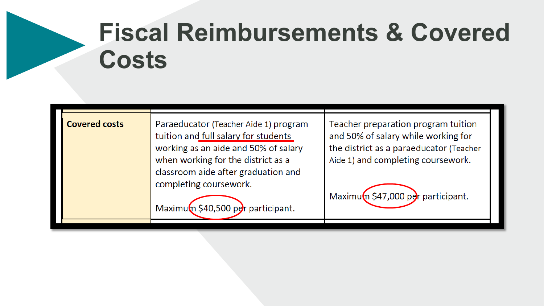# **Fiscal Reimbursements & Covered Costs**

| <b>Covered costs</b> | Paraeducator (Teacher Aide 1) program<br>tuition and full salary for students<br>working as an aide and 50% of salary<br>when working for the district as a<br>classroom aide after graduation and<br>completing coursework.<br>Maximum \$40,500 per participant. | Teacher preparation program tuition<br>and 50% of salary while working for<br>the district as a paraeducator (Teacher<br>Aide 1) and completing coursework.<br>Maximum \$47,000 per participant. |
|----------------------|-------------------------------------------------------------------------------------------------------------------------------------------------------------------------------------------------------------------------------------------------------------------|--------------------------------------------------------------------------------------------------------------------------------------------------------------------------------------------------|
|                      |                                                                                                                                                                                                                                                                   |                                                                                                                                                                                                  |
|                      |                                                                                                                                                                                                                                                                   |                                                                                                                                                                                                  |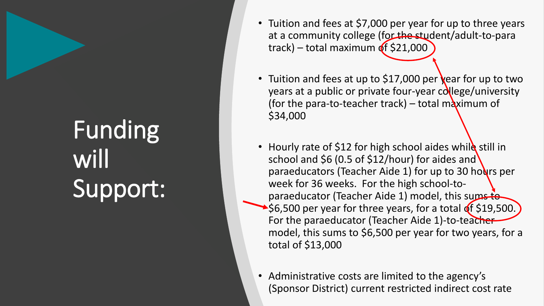# Funding will Support:

- Tuition and fees at \$7,000 per year for up to three years at a community college (for the student/adult-to-para track) – total maximum of \$21,000
- Tuition and fees at up to \$17,000 per year for up to two years at a public or private four-year  $cd$ lege/university (for the para-to-teacher track) – total maximum of \$34,000
- Hourly rate of \$12 for high school aides while still in school and \$6 (0.5 of \$12/hour) for aides and paraeducators (Teacher Aide 1) for up to 30 hours per week for 36 weeks. For the high school-toparaeducator (Teacher Aide 1) model, this sums to  $\blacktriangleright$ \$6,500 per year for three years, for a total of \$19,500. For the paraeducator (Teacher Aide 1)-to-teacher model, this sums to \$6,500 per year for two years, for a total of \$13,000
- Administrative costs are limited to the agency's (Sponsor District) current restricted indirect cost rate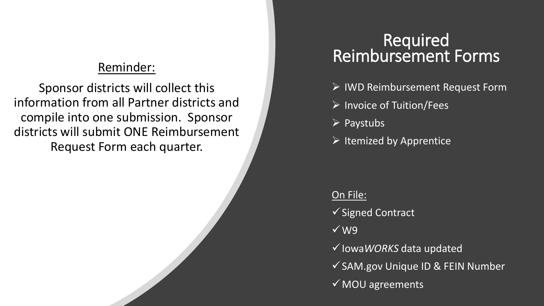### Reminder:

Sponsor districts will collect this information from all Partner districts and compile into one submission. Sponsor districts will submit ONE Reimbursement Request Form each quarter.

# Required<br>Reimbursement Forms

- $\triangleright$  IWD Reimbursement Request Form
- $\triangleright$  Invoice of Tuition/Fees
- $\triangleright$  Paystubs
- $\triangleright$  Itemized by Apprentice

### On File:

 $\checkmark$  Signed Contract

- W9
- Iowa*WORKS* data updated

 $\checkmark$  SAM.gov Unique ID & FEIN Number

MOU agreements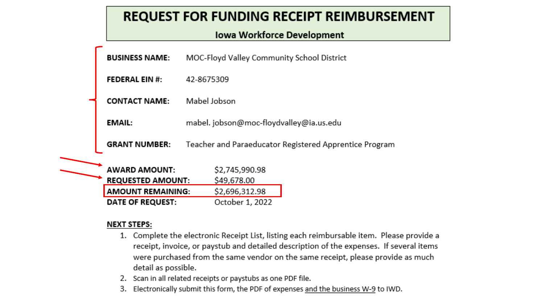### **REQUEST FOR FUNDING RECEIPT REIMBURSEMENT**

### **Iowa Workforce Development**

| <b>BUSINESS NAME:</b>                            | MOC-Floyd Valley Community School District             |
|--------------------------------------------------|--------------------------------------------------------|
| <b>FEDERAL EIN #:</b>                            | 42-8675309                                             |
| <b>CONTACT NAME:</b>                             | Mabel Jobson                                           |
| EMAIL:                                           | mabel. jobson@moc-floydvalley@ia.us.edu                |
| <b>GRANT NUMBER:</b>                             | Teacher and Paraeducator Registered Apprentice Program |
| <b>AWARD AMOUNT:</b><br><b>REQUESTED AMOUNT:</b> | \$2,745,990.98<br>\$49,678.00                          |
| <b>AMOUNT REMAINING:</b>                         | \$2,696,312.98                                         |
| DATE OF REQUEST:                                 | October 1, 2022                                        |

### **NEXT STEPS:**

- 1. Complete the electronic Receipt List, listing each reimbursable item. Please provide a receipt, invoice, or paystub and detailed description of the expenses. If several items were purchased from the same vendor on the same receipt, please provide as much detail as possible.
- 2. Scan in all related receipts or paystubs as one PDF file.
- 3. Electronically submit this form, the PDF of expenses and the business W-9 to IWD.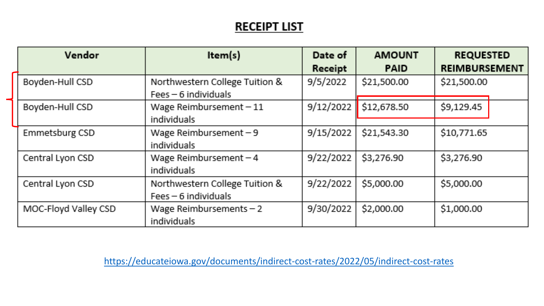### **RECEIPT LIST**

| Vendor               | Item(s)                                                  | Date of<br>Receipt | <b>AMOUNT</b><br><b>PAID</b> | <b>REQUESTED</b><br><b>REIMBURSEMENT</b> |
|----------------------|----------------------------------------------------------|--------------------|------------------------------|------------------------------------------|
| Boyden-Hull CSD      | Northwestern College Tuition &<br>$Fees - 6$ individuals | 9/5/2022           | \$21,500.00                  | \$21,500.00                              |
| Boyden-Hull CSD      | Wage Reimbursement $-11$<br>individuals                  | 9/12/2022          | \$12,678.50                  | \$9,129.45                               |
| Emmetsburg CSD       | Wage Reimbursement $-9$<br>individuals                   | 9/15/2022          | \$21,543.30                  | \$10,771.65                              |
| Central Lyon CSD     | Wage Reimbursement $-4$<br>individuals                   | 9/22/2022          | \$3,276.90                   | \$3,276.90                               |
| Central Lyon CSD     | Northwestern College Tuition &<br>$Fees - 6$ individuals | 9/22/2022          | \$5,000.00                   | \$5,000.00                               |
| MOC-Floyd Valley CSD | Wage Reimbursements $-2$<br>individuals                  | 9/30/2022          | \$2,000.00                   | \$1,000.00                               |

<https://educateiowa.gov/documents/indirect-cost-rates/2022/05/indirect-cost-rates>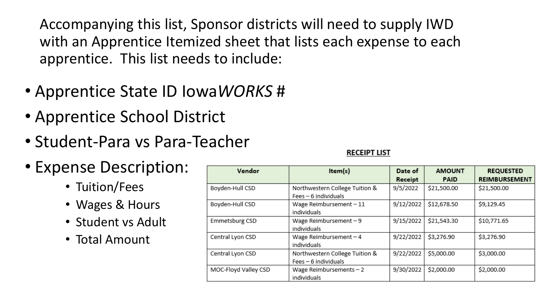Accompanying this list, Sponsor districts will need to supply IWD with an Apprentice Itemized sheet that lists each expense to each apprentice. This list needs to include:

- Apprentice State ID Iowa*WORKS* #
- Apprentice School District
- Student-Para vs Para-Teacher
- Expense Description:
	- Tuition/Fees
	- Wages & Hours
	- Student vs Adult
	- Total Amount

| Vendor               | Item(s)                                                | Date of<br>Receipt | <b>AMOUNT</b><br><b>PAID</b> | <b>REQUESTED</b><br><b>REIMBURSEMENT</b> |
|----------------------|--------------------------------------------------------|--------------------|------------------------------|------------------------------------------|
| Boyden-Hull CSD      | Northwestern College Tuition &<br>Fees - 6 individuals | 9/5/2022           | \$21,500.00                  | \$21,500.00                              |
| Boyden-Hull CSD      | Wage Reimbursement $-11$<br>individuals                | 9/12/2022          | \$12,678.50                  | \$9,129.45                               |
| Emmetsburg CSD       | Wage Reimbursement $-9$<br>individuals                 | 9/15/2022          | \$21,543.30                  | \$10,771.65                              |
| Central Lyon CSD     | Wage Reimbursement $-4$<br>individuals                 | 9/22/2022          | \$3,276.90                   | \$3,276.90                               |
| Central Lyon CSD     | Northwestern College Tuition &<br>Fees - 6 individuals | 9/22/2022          | \$5,000.00                   | \$3,000.00                               |
| MOC-Floyd Valley CSD | Wage Reimbursements $-2$<br>individuals                | 9/30/2022          | \$2,000.00                   | \$2,000.00                               |

### **RECEIPT LIST**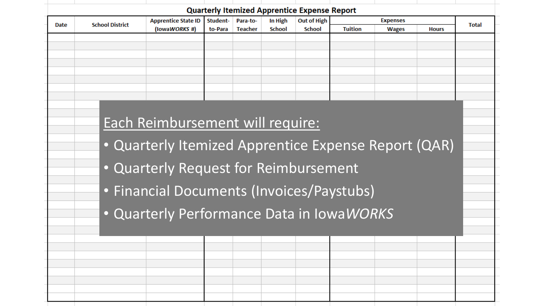| Date | <b>School District</b> | <b>Apprentice State ID</b>                           | Student- | Para-to-       | In High       | <b>Out of High</b> |                | <b>Expenses</b> |              | <b>Total</b> |
|------|------------------------|------------------------------------------------------|----------|----------------|---------------|--------------------|----------------|-----------------|--------------|--------------|
|      |                        | (lowaWORKS #)                                        | to-Para  | <b>Teacher</b> | <b>School</b> | <b>School</b>      | <b>Tuition</b> | <b>Wages</b>    | <b>Hours</b> |              |
|      |                        |                                                      |          |                |               |                    |                |                 |              |              |
|      |                        |                                                      |          |                |               |                    |                |                 |              |              |
|      |                        |                                                      |          |                |               |                    |                |                 |              |              |
|      |                        |                                                      |          |                |               |                    |                |                 |              |              |
|      |                        |                                                      |          |                |               |                    |                |                 |              |              |
|      |                        | Each Reimbursement will require:                     |          |                |               |                    |                |                 |              |              |
|      |                        |                                                      |          |                |               |                    |                |                 |              |              |
|      |                        |                                                      |          |                |               |                    |                |                 |              |              |
|      |                        | • Quarterly Itemized Apprentice Expense Report (QAR) |          |                |               |                    |                |                 |              |              |
|      |                        |                                                      |          |                |               |                    |                |                 |              |              |
|      |                        | . Quarterly Request for Reimbursement                |          |                |               |                    |                |                 |              |              |
|      |                        |                                                      |          |                |               |                    |                |                 |              |              |
|      |                        | • Financial Documents (Invoices/Paystubs)            |          |                |               |                    |                |                 |              |              |
|      |                        | • Quarterly Performance Data in IowaWORKS            |          |                |               |                    |                |                 |              |              |
|      |                        |                                                      |          |                |               |                    |                |                 |              |              |
|      |                        |                                                      |          |                |               |                    |                |                 |              |              |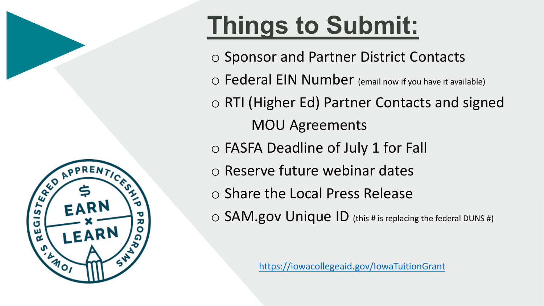

# **Things to Submit:**

o Sponsor and Partner District Contacts

o Federal EIN Number (email now if you have it available)

o RTI (Higher Ed) Partner Contacts and signed MOU Agreements

- o FASFA Deadline of July 1 for Fall
- o Reserve future webinar dates
- o Share the Local Press Release
- o SAM.gov Unique ID (this # is replacing the federal DUNS #)

<https://iowacollegeaid.gov/IowaTuitionGrant>